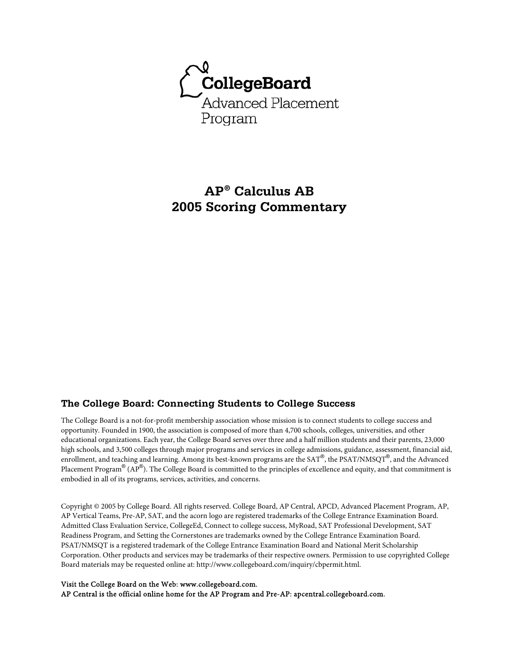

# **AP® Calculus AB 2005 Scoring Commentary**

## **The College Board: Connecting Students to College Success**

The College Board is a not-for-profit membership association whose mission is to connect students to college success and opportunity. Founded in 1900, the association is composed of more than 4,700 schools, colleges, universities, and other educational organizations. Each year, the College Board serves over three and a half million students and their parents, 23,000 high schools, and 3,500 colleges through major programs and services in college admissions, guidance, assessment, financial aid, enrollment, and teaching and learning. Among its best-known programs are the SAT®, the PSAT/NMSQT®, and the Advanced Placement Program $^\circledR$  (AP $^\circledR$ ). The College Board is committed to the principles of excellence and equity, and that commitment is embodied in all of its programs, services, activities, and concerns.

Copyright © 2005 by College Board. All rights reserved. College Board, AP Central, APCD, Advanced Placement Program, AP, AP Vertical Teams, Pre-AP, SAT, and the acorn logo are registered trademarks of the College Entrance Examination Board. Admitted Class Evaluation Service, CollegeEd, Connect to college success, MyRoad, SAT Professional Development, SAT Readiness Program, and Setting the Cornerstones are trademarks owned by the College Entrance Examination Board. PSAT/NMSQT is a registered trademark of the College Entrance Examination Board and National Merit Scholarship Corporation. Other products and services may be trademarks of their respective owners. Permission to use copyrighted College Board materials may be requested online at: http://www.collegeboard.com/inquiry/cbpermit.html.

#### Visit the College Board on the Web: www.collegeboard.com.

AP Central is the official online home for the AP Program and Pre-AP: apcentral.collegeboard.com.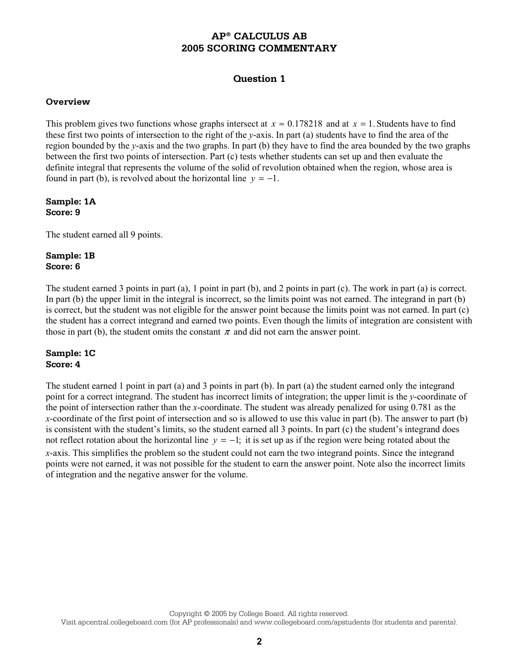# **Question 1**

#### **Overview**

This problem gives two functions whose graphs intersect at  $x \approx 0.178218$  and at  $x = 1$ . Students have to find these first two points of intersection to the right of the *y*-axis. In part (a) students have to find the area of the region bounded by the *y*-axis and the two graphs. In part (b) they have to find the area bounded by the two graphs between the first two points of intersection. Part (c) tests whether students can set up and then evaluate the definite integral that represents the volume of the solid of revolution obtained when the region, whose area is found in part (b), is revolved about the horizontal line  $y = -1$ .

#### **Sample: 1A Score: 9**

The student earned all 9 points.

## **Sample: 1B Score: 6**

The student earned 3 points in part (a), 1 point in part (b), and 2 points in part (c). The work in part (a) is correct. In part (b) the upper limit in the integral is incorrect, so the limits point was not earned. The integrand in part (b) is correct, but the student was not eligible for the answer point because the limits point was not earned. In part (c) the student has a correct integrand and earned two points. Even though the limits of integration are consistent with those in part (b), the student omits the constant  $\pi$  and did not earn the answer point.

## **Sample: 1C Score: 4**

The student earned 1 point in part (a) and 3 points in part (b). In part (a) the student earned only the integrand point for a correct integrand. The student has incorrect limits of integration; the upper limit is the *y*-coordinate of the point of intersection rather than the *x*-coordinate. The student was already penalized for using 0.781 as the *x*-coordinate of the first point of intersection and so is allowed to use this value in part (b). The answer to part (b) is consistent with the student's limits, so the student earned all 3 points. In part (c) the student's integrand does not reflect rotation about the horizontal line  $y = -1$ ; it is set up as if the region were being rotated about the *x*-axis. This simplifies the problem so the student could not earn the two integrand points. Since the integrand points were not earned, it was not possible for the student to earn the answer point. Note also the incorrect limits of integration and the negative answer for the volume.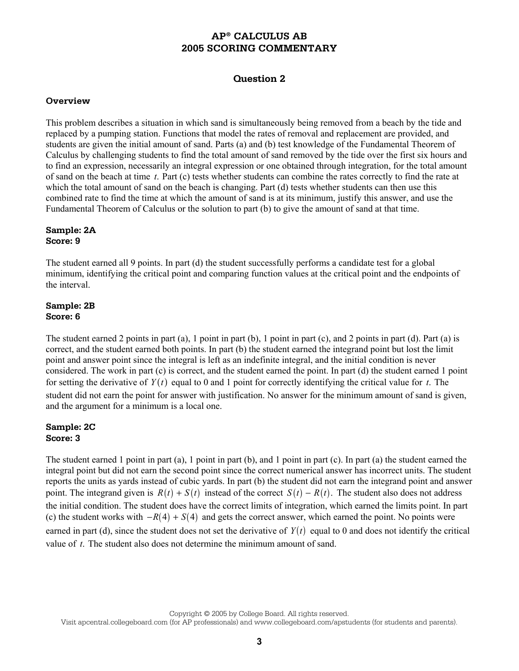# **Question 2**

#### **Overview**

This problem describes a situation in which sand is simultaneously being removed from a beach by the tide and replaced by a pumping station. Functions that model the rates of removal and replacement are provided, and students are given the initial amount of sand. Parts (a) and (b) test knowledge of the Fundamental Theorem of Calculus by challenging students to find the total amount of sand removed by the tide over the first six hours and to find an expression, necessarily an integral expression or one obtained through integration, for the total amount of sand on the beach at time *t*. Part (c) tests whether students can combine the rates correctly to find the rate at which the total amount of sand on the beach is changing. Part (d) tests whether students can then use this combined rate to find the time at which the amount of sand is at its minimum, justify this answer, and use the Fundamental Theorem of Calculus or the solution to part (b) to give the amount of sand at that time.

## **Sample: 2A Score: 9**

The student earned all 9 points. In part (d) the student successfully performs a candidate test for a global minimum, identifying the critical point and comparing function values at the critical point and the endpoints of the interval.

## **Sample: 2B Score: 6**

The student earned 2 points in part (a), 1 point in part (b), 1 point in part (c), and 2 points in part (d). Part (a) is correct, and the student earned both points. In part (b) the student earned the integrand point but lost the limit point and answer point since the integral is left as an indefinite integral, and the initial condition is never considered. The work in part (c) is correct, and the student earned the point. In part (d) the student earned 1 point for setting the derivative of  $Y(t)$  equal to 0 and 1 point for correctly identifying the critical value for *t*. The student did not earn the point for answer with justification. No answer for the minimum amount of sand is given, and the argument for a minimum is a local one.

#### **Sample: 2C Score: 3**

The student earned 1 point in part (a), 1 point in part (b), and 1 point in part (c). In part (a) the student earned the integral point but did not earn the second point since the correct numerical answer has incorrect units. The student reports the units as yards instead of cubic yards. In part (b) the student did not earn the integrand point and answer point. The integrand given is  $R(t) + S(t)$  instead of the correct  $S(t) - R(t)$ . The student also does not address the initial condition. The student does have the correct limits of integration, which earned the limits point. In part (c) the student works with  $-R(4) + S(4)$  and gets the correct answer, which earned the point. No points were earned in part (d), since the student does not set the derivative of  $Y(t)$  equal to 0 and does not identify the critical value of *t*. The student also does not determine the minimum amount of sand.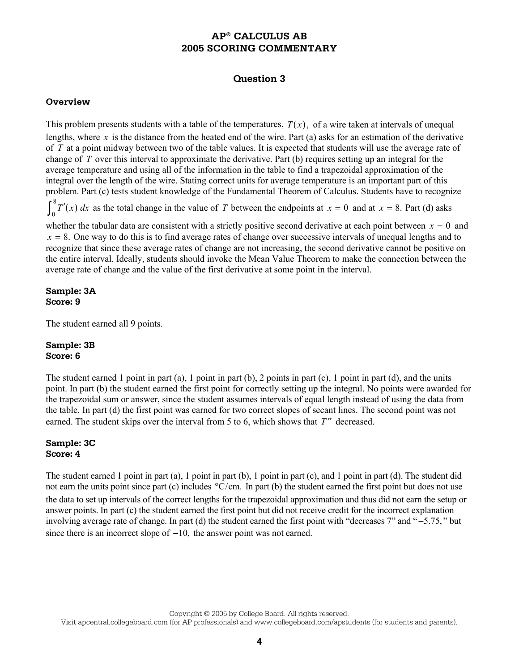# **Question 3**

## **Overview**

This problem presents students with a table of the temperatures,  $T(x)$ , of a wire taken at intervals of unequal lengths, where  $x$  is the distance from the heated end of the wire. Part (a) asks for an estimation of the derivative of *T* at a point midway between two of the table values. It is expected that students will use the average rate of change of *T* over this interval to approximate the derivative. Part (b) requires setting up an integral for the average temperature and using all of the information in the table to find a trapezoidal approximation of the integral over the length of the wire. Stating correct units for average temperature is an important part of this problem. Part (c) tests student knowledge of the Fundamental Theorem of Calculus. Students have to recognize  $\int_a^8 T'(x)$  $\int_0^{\infty} T'(x) dx$  as the total change in the value of *T* between the endpoints at  $x = 0$  and at  $x = 8$ . Part (d) asks whether the tabular data are consistent with a strictly positive second derivative at each point between  $x = 0$  and  $x = 8$ . One way to do this is to find average rates of change over successive intervals of unequal lengths and to

recognize that since these average rates of change are not increasing, the second derivative cannot be positive on the entire interval. Ideally, students should invoke the Mean Value Theorem to make the connection between the average rate of change and the value of the first derivative at some point in the interval.

#### **Sample: 3A Score: 9**

The student earned all 9 points.

## **Sample: 3B Score: 6**

The student earned 1 point in part  $(a)$ , 1 point in part  $(b)$ , 2 points in part  $(c)$ , 1 point in part  $(d)$ , and the units point. In part (b) the student earned the first point for correctly setting up the integral. No points were awarded for the trapezoidal sum or answer, since the student assumes intervals of equal length instead of using the data from the table. In part (d) the first point was earned for two correct slopes of secant lines. The second point was not earned. The student skips over the interval from 5 to 6, which shows that *T*<sup>"</sup> decreased.

## **Sample: 3C Score: 4**

The student earned 1 point in part (a), 1 point in part (b), 1 point in part (c), and 1 point in part (d). The student did not earn the units point since part (c) includes  $\degree$ C/cm. In part (b) the student earned the first point but does not use the data to set up intervals of the correct lengths for the trapezoidal approximation and thus did not earn the setup or answer points. In part (c) the student earned the first point but did not receive credit for the incorrect explanation involving average rate of change. In part (d) the student earned the first point with "decreases 7" and " −5.75, " but since there is an incorrect slope of −10, the answer point was not earned.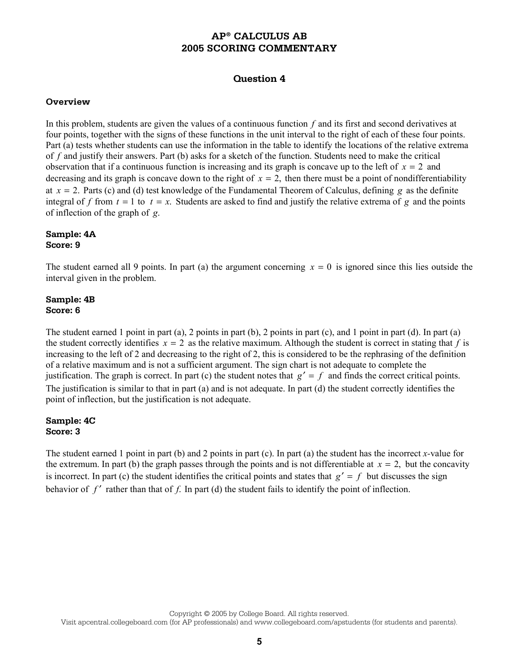# **Question 4**

#### **Overview**

In this problem, students are given the values of a continuous function *f* and its first and second derivatives at four points, together with the signs of these functions in the unit interval to the right of each of these four points. Part (a) tests whether students can use the information in the table to identify the locations of the relative extrema of *f* and justify their answers. Part (b) asks for a sketch of the function. Students need to make the critical observation that if a continuous function is increasing and its graph is concave up to the left of  $x = 2$  and decreasing and its graph is concave down to the right of  $x = 2$ , then there must be a point of nondifferentiability at  $x = 2$ . Parts (c) and (d) test knowledge of the Fundamental Theorem of Calculus, defining *g* as the definite integral of f from  $t = 1$  to  $t = x$ . Students are asked to find and justify the relative extrema of g and the points of inflection of the graph of *g*.

#### **Sample: 4A Score: 9**

The student earned all 9 points. In part (a) the argument concerning  $x = 0$  is ignored since this lies outside the interval given in the problem.

#### **Sample: 4B Score: 6**

The student earned 1 point in part (a), 2 points in part (b), 2 points in part (c), and 1 point in part (d). In part (a) the student correctly identifies  $x = 2$  as the relative maximum. Although the student is correct in stating that *f* is increasing to the left of 2 and decreasing to the right of 2, this is considered to be the rephrasing of the definition of a relative maximum and is not a sufficient argument. The sign chart is not adequate to complete the justification. The graph is correct. In part (c) the student notes that  $g' = f$  and finds the correct critical points. The justification is similar to that in part (a) and is not adequate. In part (d) the student correctly identifies the point of inflection, but the justification is not adequate.

## **Sample: 4C Score: 3**

The student earned 1 point in part (b) and 2 points in part (c). In part (a) the student has the incorrect *x-*value for the extremum. In part (b) the graph passes through the points and is not differentiable at  $x = 2$ , but the concavity is incorrect. In part (c) the student identifies the critical points and states that  $g' = f$  but discusses the sign behavior of *f'* rather than that of *f*. In part (d) the student fails to identify the point of inflection.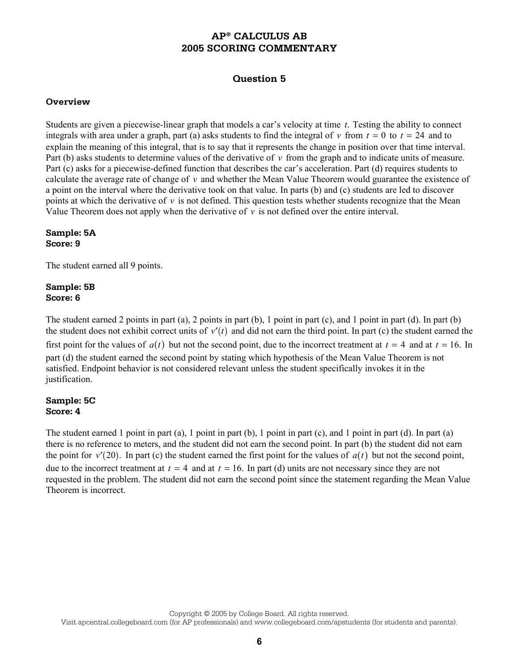# **Question 5**

#### **Overview**

Students are given a piecewise-linear graph that models a car's velocity at time *t*. Testing the ability to connect integrals with area under a graph, part (a) asks students to find the integral of  $v$  from  $t = 0$  to  $t = 24$  and to explain the meaning of this integral, that is to say that it represents the change in position over that time interval. Part (b) asks students to determine values of the derivative of *v* from the graph and to indicate units of measure. Part (c) asks for a piecewise-defined function that describes the car's acceleration. Part (d) requires students to calculate the average rate of change of *v* and whether the Mean Value Theorem would guarantee the existence of a point on the interval where the derivative took on that value. In parts (b) and (c) students are led to discover points at which the derivative of  $\nu$  is not defined. This question tests whether students recognize that the Mean Value Theorem does not apply when the derivative of  $\nu$  is not defined over the entire interval.

**Sample: 5A Score: 9** 

The student earned all 9 points.

## **Sample: 5B Score: 6**

The student earned 2 points in part (a), 2 points in part (b), 1 point in part (c), and 1 point in part (d). In part (b) the student does not exhibit correct units of  $v'(t)$  and did not earn the third point. In part (c) the student earned the first point for the values of  $a(t)$  but not the second point, due to the incorrect treatment at  $t = 4$  and at  $t = 16$ . In part (d) the student earned the second point by stating which hypothesis of the Mean Value Theorem is not satisfied. Endpoint behavior is not considered relevant unless the student specifically invokes it in the justification.

## **Sample: 5C Score: 4**

The student earned 1 point in part (a), 1 point in part (b), 1 point in part (c), and 1 point in part (d). In part (a) there is no reference to meters, and the student did not earn the second point. In part (b) the student did not earn the point for  $v'(20)$ . In part (c) the student earned the first point for the values of  $a(t)$  but not the second point, due to the incorrect treatment at  $t = 4$  and at  $t = 16$ . In part (d) units are not necessary since they are not requested in the problem. The student did not earn the second point since the statement regarding the Mean Value Theorem is incorrect.